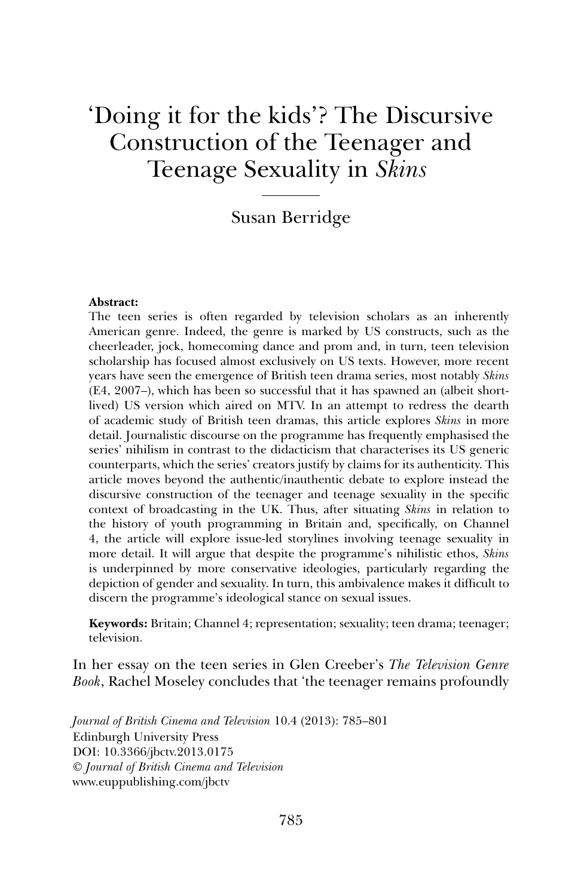# 'Doing it for the kids'? The Discursive Construction of the Teenager and Teenage Sexuality in *Skins*

# Susan Berridge

#### **Abstract:**

The teen series is often regarded by television scholars as an inherently American genre. Indeed, the genre is marked by US constructs, such as the cheerleader, jock, homecoming dance and prom and, in turn, teen television scholarship has focused almost exclusively on US texts. However, more recent years have seen the emergence of British teen drama series, most notably *Skins* (E4, 2007–), which has been so successful that it has spawned an (albeit shortlived) US version which aired on MTV. In an attempt to redress the dearth of academic study of British teen dramas, this article explores *Skins* in more detail. Journalistic discourse on the programme has frequently emphasised the series' nihilism in contrast to the didacticism that characterises its US generic counterparts, which the series' creators justify by claims for its authenticity. This article moves beyond the authentic/inauthentic debate to explore instead the discursive construction of the teenager and teenage sexuality in the specific context of broadcasting in the UK. Thus, after situating *Skins* in relation to the history of youth programming in Britain and, specifically, on Channel 4, the article will explore issue-led storylines involving teenage sexuality in more detail. It will argue that despite the programme's nihilistic ethos, *Skins* is underpinned by more conservative ideologies, particularly regarding the depiction of gender and sexuality. In turn, this ambivalence makes it difficult to discern the programme's ideological stance on sexual issues.

**Keywords:** Britain; Channel 4; representation; sexuality; teen drama; teenager; television.

In her essay on the teen series in Glen Creeber's *The Television Genre Book*, Rachel Moseley concludes that 'the teenager remains profoundly

*Journal of British Cinema and Television* 10.4 (2013): 785–801 Edinburgh University Press DOI: 10.3366/jbctv.2013.0175 © *Journal of British Cinema and Television* www.euppublishing.com/jbctv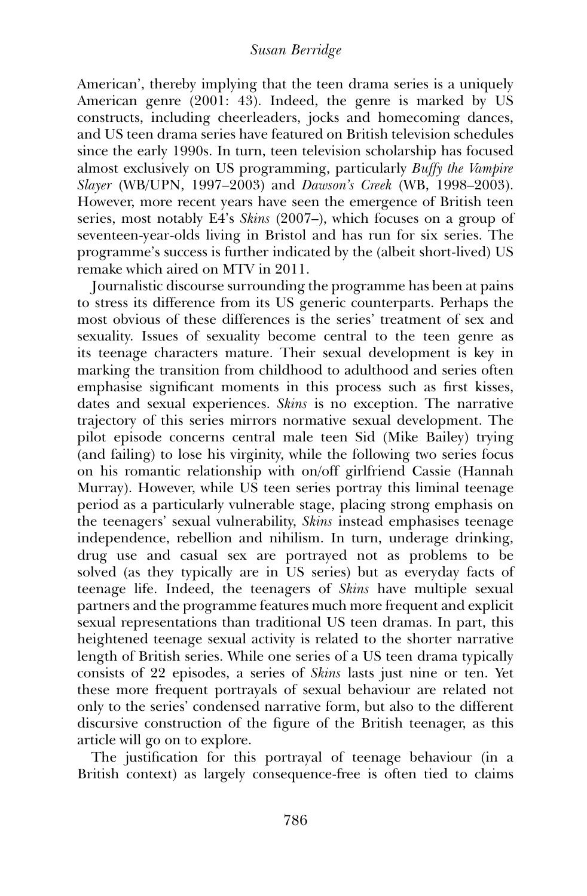American', thereby implying that the teen drama series is a uniquely American genre (2001: 43). Indeed, the genre is marked by US constructs, including cheerleaders, jocks and homecoming dances, and US teen drama series have featured on British television schedules since the early 1990s. In turn, teen television scholarship has focused almost exclusively on US programming, particularly *Buffy the Vampire Slayer* (WB/UPN, 1997–2003) and *Dawson's Creek* (WB, 1998–2003). However, more recent years have seen the emergence of British teen series, most notably E4's *Skins* (2007–), which focuses on a group of seventeen-year-olds living in Bristol and has run for six series. The programme's success is further indicated by the (albeit short-lived) US remake which aired on MTV in 2011.

Journalistic discourse surrounding the programme has been at pains to stress its difference from its US generic counterparts. Perhaps the most obvious of these differences is the series' treatment of sex and sexuality. Issues of sexuality become central to the teen genre as its teenage characters mature. Their sexual development is key in marking the transition from childhood to adulthood and series often emphasise significant moments in this process such as first kisses, dates and sexual experiences. *Skins* is no exception. The narrative trajectory of this series mirrors normative sexual development. The pilot episode concerns central male teen Sid (Mike Bailey) trying (and failing) to lose his virginity, while the following two series focus on his romantic relationship with on/off girlfriend Cassie (Hannah Murray). However, while US teen series portray this liminal teenage period as a particularly vulnerable stage, placing strong emphasis on the teenagers' sexual vulnerability, *Skins* instead emphasises teenage independence, rebellion and nihilism. In turn, underage drinking, drug use and casual sex are portrayed not as problems to be solved (as they typically are in US series) but as everyday facts of teenage life. Indeed, the teenagers of *Skins* have multiple sexual partners and the programme features much more frequent and explicit sexual representations than traditional US teen dramas. In part, this heightened teenage sexual activity is related to the shorter narrative length of British series. While one series of a US teen drama typically consists of 22 episodes, a series of *Skins* lasts just nine or ten. Yet these more frequent portrayals of sexual behaviour are related not only to the series' condensed narrative form, but also to the different discursive construction of the figure of the British teenager, as this article will go on to explore.

The justification for this portrayal of teenage behaviour (in a British context) as largely consequence-free is often tied to claims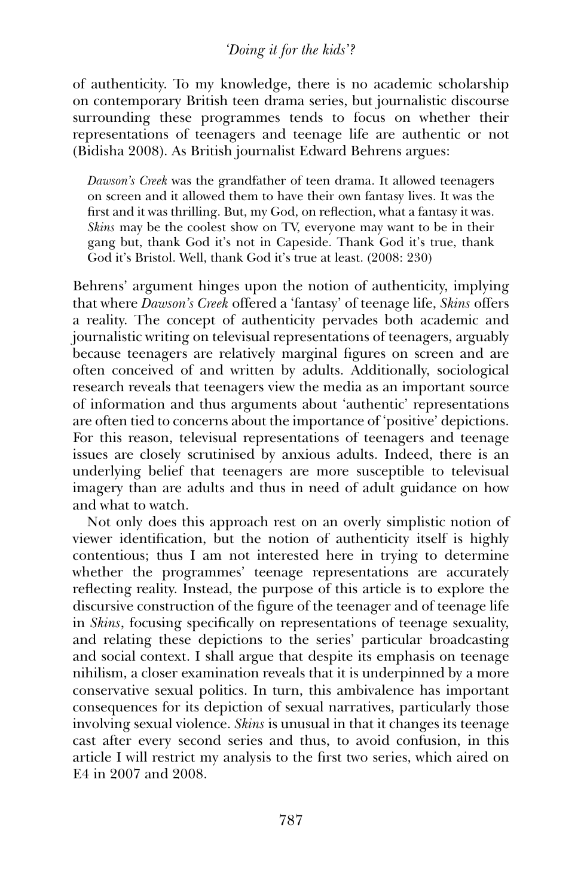## *'Doing it for the kids'?*

of authenticity. To my knowledge, there is no academic scholarship on contemporary British teen drama series, but journalistic discourse surrounding these programmes tends to focus on whether their representations of teenagers and teenage life are authentic or not (Bidisha 2008). As British journalist Edward Behrens argues:

*Dawson's Creek* was the grandfather of teen drama. It allowed teenagers on screen and it allowed them to have their own fantasy lives. It was the first and it was thrilling. But, my God, on reflection, what a fantasy it was. *Skins* may be the coolest show on TV, everyone may want to be in their gang but, thank God it's not in Capeside. Thank God it's true, thank God it's Bristol. Well, thank God it's true at least. (2008: 230)

Behrens' argument hinges upon the notion of authenticity, implying that where *Dawson's Creek* offered a 'fantasy' of teenage life, *Skins* offers a reality. The concept of authenticity pervades both academic and journalistic writing on televisual representations of teenagers, arguably because teenagers are relatively marginal figures on screen and are often conceived of and written by adults. Additionally, sociological research reveals that teenagers view the media as an important source of information and thus arguments about 'authentic' representations are often tied to concerns about the importance of 'positive' depictions. For this reason, televisual representations of teenagers and teenage issues are closely scrutinised by anxious adults. Indeed, there is an underlying belief that teenagers are more susceptible to televisual imagery than are adults and thus in need of adult guidance on how and what to watch.

Not only does this approach rest on an overly simplistic notion of viewer identification, but the notion of authenticity itself is highly contentious; thus I am not interested here in trying to determine whether the programmes' teenage representations are accurately reflecting reality. Instead, the purpose of this article is to explore the discursive construction of the figure of the teenager and of teenage life in *Skins*, focusing specifically on representations of teenage sexuality, and relating these depictions to the series' particular broadcasting and social context. I shall argue that despite its emphasis on teenage nihilism, a closer examination reveals that it is underpinned by a more conservative sexual politics. In turn, this ambivalence has important consequences for its depiction of sexual narratives, particularly those involving sexual violence. *Skins* is unusual in that it changes its teenage cast after every second series and thus, to avoid confusion, in this article I will restrict my analysis to the first two series, which aired on E4 in 2007 and 2008.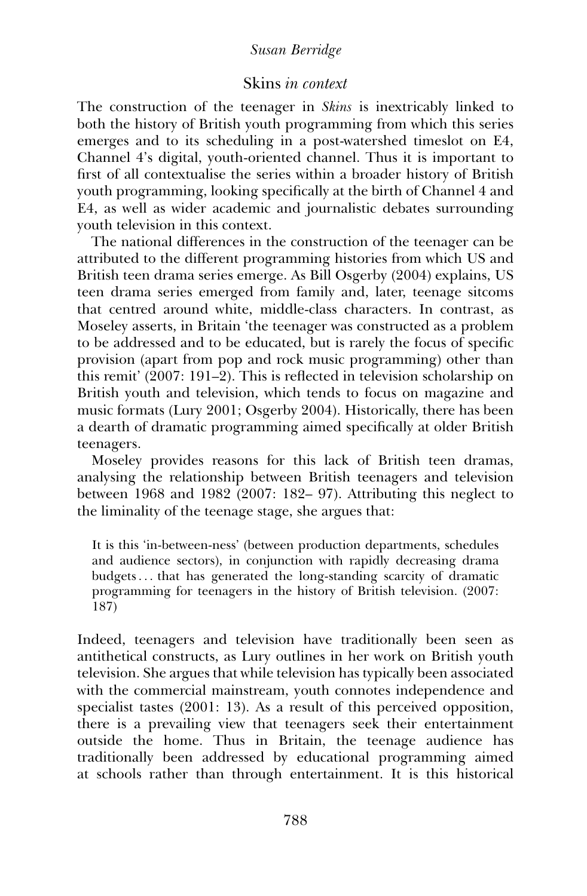## Skins *in context*

The construction of the teenager in *Skins* is inextricably linked to both the history of British youth programming from which this series emerges and to its scheduling in a post-watershed timeslot on E4, Channel 4's digital, youth-oriented channel. Thus it is important to first of all contextualise the series within a broader history of British youth programming, looking specifically at the birth of Channel 4 and E4, as well as wider academic and journalistic debates surrounding youth television in this context.

The national differences in the construction of the teenager can be attributed to the different programming histories from which US and British teen drama series emerge. As Bill Osgerby (2004) explains, US teen drama series emerged from family and, later, teenage sitcoms that centred around white, middle-class characters. In contrast, as Moseley asserts, in Britain 'the teenager was constructed as a problem to be addressed and to be educated, but is rarely the focus of specific provision (apart from pop and rock music programming) other than this remit' (2007: 191–2). This is reflected in television scholarship on British youth and television, which tends to focus on magazine and music formats (Lury 2001; Osgerby 2004). Historically, there has been a dearth of dramatic programming aimed specifically at older British teenagers.

Moseley provides reasons for this lack of British teen dramas, analysing the relationship between British teenagers and television between 1968 and 1982 (2007: 182– 97). Attributing this neglect to the liminality of the teenage stage, she argues that:

It is this 'in-between-ness' (between production departments, schedules and audience sectors), in conjunction with rapidly decreasing drama budgets . . . that has generated the long-standing scarcity of dramatic programming for teenagers in the history of British television. (2007: 187)

Indeed, teenagers and television have traditionally been seen as antithetical constructs, as Lury outlines in her work on British youth television. She argues that while television has typically been associated with the commercial mainstream, youth connotes independence and specialist tastes (2001: 13). As a result of this perceived opposition, there is a prevailing view that teenagers seek their entertainment outside the home. Thus in Britain, the teenage audience has traditionally been addressed by educational programming aimed at schools rather than through entertainment. It is this historical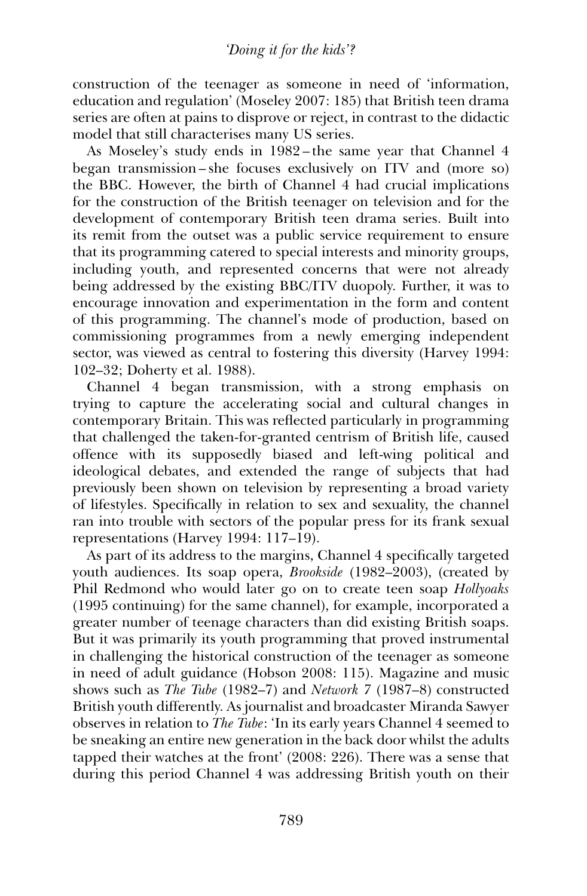construction of the teenager as someone in need of 'information, education and regulation' (Moseley 2007: 185) that British teen drama series are often at pains to disprove or reject, in contrast to the didactic model that still characterises many US series.

As Moseley's study ends in 1982 – the same year that Channel 4 began transmission – she focuses exclusively on ITV and (more so) the BBC. However, the birth of Channel 4 had crucial implications for the construction of the British teenager on television and for the development of contemporary British teen drama series. Built into its remit from the outset was a public service requirement to ensure that its programming catered to special interests and minority groups, including youth, and represented concerns that were not already being addressed by the existing BBC/ITV duopoly. Further, it was to encourage innovation and experimentation in the form and content of this programming. The channel's mode of production, based on commissioning programmes from a newly emerging independent sector, was viewed as central to fostering this diversity (Harvey 1994: 102–32; Doherty et al. 1988).

Channel 4 began transmission, with a strong emphasis on trying to capture the accelerating social and cultural changes in contemporary Britain. This was reflected particularly in programming that challenged the taken-for-granted centrism of British life, caused offence with its supposedly biased and left-wing political and ideological debates, and extended the range of subjects that had previously been shown on television by representing a broad variety of lifestyles. Specifically in relation to sex and sexuality, the channel ran into trouble with sectors of the popular press for its frank sexual representations (Harvey 1994: 117–19).

As part of its address to the margins, Channel 4 specifically targeted youth audiences. Its soap opera, *Brookside* (1982–2003), (created by Phil Redmond who would later go on to create teen soap *Hollyoaks* (1995 continuing) for the same channel), for example, incorporated a greater number of teenage characters than did existing British soaps. But it was primarily its youth programming that proved instrumental in challenging the historical construction of the teenager as someone in need of adult guidance (Hobson 2008: 115). Magazine and music shows such as *The Tube* (1982–7) and *Network 7* (1987–8) constructed British youth differently. As journalist and broadcaster Miranda Sawyer observes in relation to *The Tube*: 'In its early years Channel 4 seemed to be sneaking an entire new generation in the back door whilst the adults tapped their watches at the front' (2008: 226). There was a sense that during this period Channel 4 was addressing British youth on their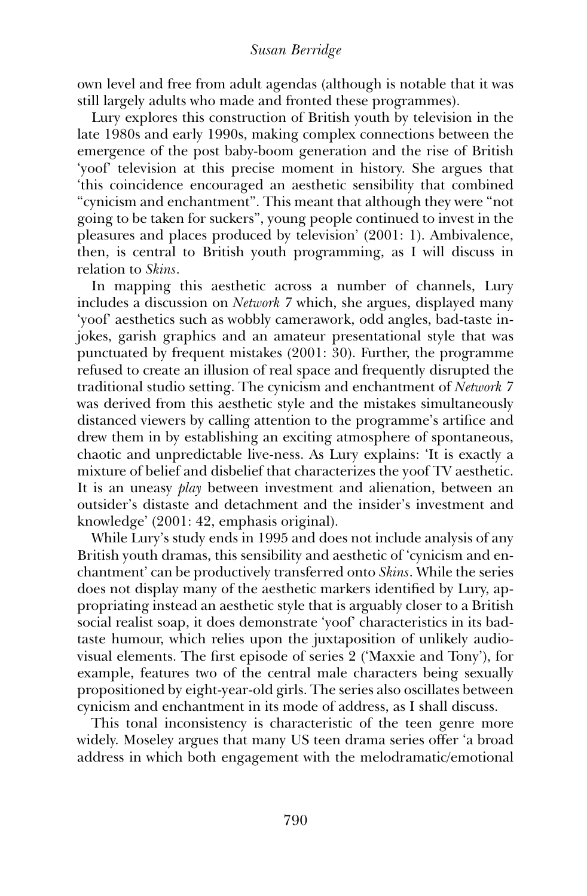own level and free from adult agendas (although is notable that it was still largely adults who made and fronted these programmes).

Lury explores this construction of British youth by television in the late 1980s and early 1990s, making complex connections between the emergence of the post baby-boom generation and the rise of British 'yoof' television at this precise moment in history. She argues that 'this coincidence encouraged an aesthetic sensibility that combined "cynicism and enchantment''. This meant that although they were "not going to be taken for suckers'', young people continued to invest in the pleasures and places produced by television' (2001: 1). Ambivalence, then, is central to British youth programming, as I will discuss in relation to *Skins*.

In mapping this aesthetic across a number of channels, Lury includes a discussion on *Network 7* which, she argues, displayed many 'yoof' aesthetics such as wobbly camerawork, odd angles, bad-taste injokes, garish graphics and an amateur presentational style that was punctuated by frequent mistakes (2001: 30). Further, the programme refused to create an illusion of real space and frequently disrupted the traditional studio setting. The cynicism and enchantment of *Network 7* was derived from this aesthetic style and the mistakes simultaneously distanced viewers by calling attention to the programme's artifice and drew them in by establishing an exciting atmosphere of spontaneous, chaotic and unpredictable live-ness. As Lury explains: 'It is exactly a mixture of belief and disbelief that characterizes the yoof TV aesthetic. It is an uneasy *play* between investment and alienation, between an outsider's distaste and detachment and the insider's investment and knowledge' (2001: 42, emphasis original).

While Lury's study ends in 1995 and does not include analysis of any British youth dramas, this sensibility and aesthetic of 'cynicism and enchantment' can be productively transferred onto *Skins*. While the series does not display many of the aesthetic markers identified by Lury, appropriating instead an aesthetic style that is arguably closer to a British social realist soap, it does demonstrate 'yoof' characteristics in its badtaste humour, which relies upon the juxtaposition of unlikely audiovisual elements. The first episode of series 2 ('Maxxie and Tony'), for example, features two of the central male characters being sexually propositioned by eight-year-old girls. The series also oscillates between cynicism and enchantment in its mode of address, as I shall discuss.

This tonal inconsistency is characteristic of the teen genre more widely. Moseley argues that many US teen drama series offer 'a broad address in which both engagement with the melodramatic/emotional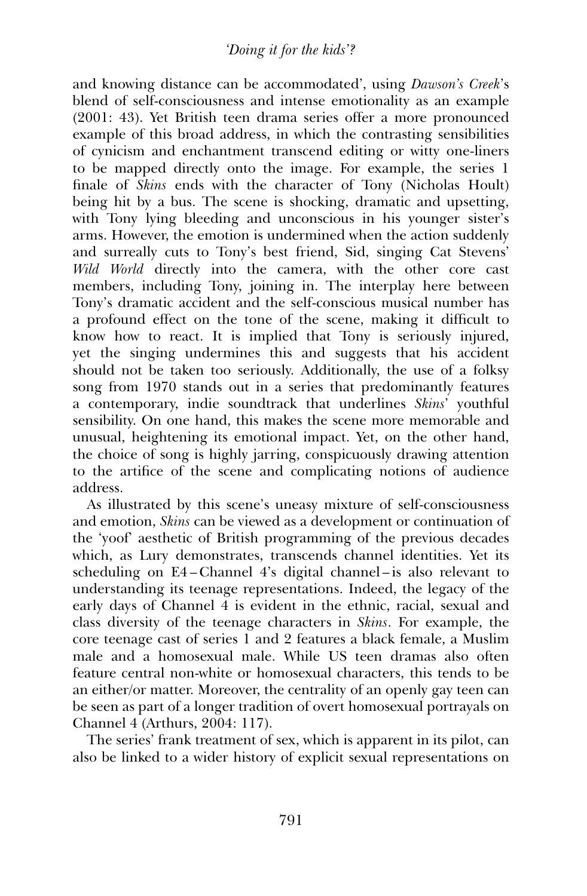and knowing distance can be accommodated', using *Dawson's Creek*'s blend of self-consciousness and intense emotionality as an example (2001: 43). Yet British teen drama series offer a more pronounced example of this broad address, in which the contrasting sensibilities of cynicism and enchantment transcend editing or witty one-liners to be mapped directly onto the image. For example, the series 1 finale of *Skins* ends with the character of Tony (Nicholas Hoult) being hit by a bus. The scene is shocking, dramatic and upsetting, with Tony lying bleeding and unconscious in his younger sister's arms. However, the emotion is undermined when the action suddenly and surreally cuts to Tony's best friend, Sid, singing Cat Stevens' *Wild World* directly into the camera, with the other core cast members, including Tony, joining in. The interplay here between Tony's dramatic accident and the self-conscious musical number has a profound effect on the tone of the scene, making it difficult to know how to react. It is implied that Tony is seriously injured, yet the singing undermines this and suggests that his accident should not be taken too seriously. Additionally, the use of a folksy song from 1970 stands out in a series that predominantly features a contemporary, indie soundtrack that underlines *Skins*' youthful sensibility. On one hand, this makes the scene more memorable and unusual, heightening its emotional impact. Yet, on the other hand, the choice of song is highly jarring, conspicuously drawing attention to the artifice of the scene and complicating notions of audience address.

As illustrated by this scene's uneasy mixture of self-consciousness and emotion, *Skins* can be viewed as a development or continuation of the 'yoof' aesthetic of British programming of the previous decades which, as Lury demonstrates, transcends channel identities. Yet its scheduling on E4 – Channel 4's digital channel – is also relevant to understanding its teenage representations. Indeed, the legacy of the early days of Channel 4 is evident in the ethnic, racial, sexual and class diversity of the teenage characters in *Skins*. For example, the core teenage cast of series 1 and 2 features a black female, a Muslim male and a homosexual male. While US teen dramas also often feature central non-white or homosexual characters, this tends to be an either/or matter. Moreover, the centrality of an openly gay teen can be seen as part of a longer tradition of overt homosexual portrayals on Channel 4 (Arthurs, 2004: 117).

The series' frank treatment of sex, which is apparent in its pilot, can also be linked to a wider history of explicit sexual representations on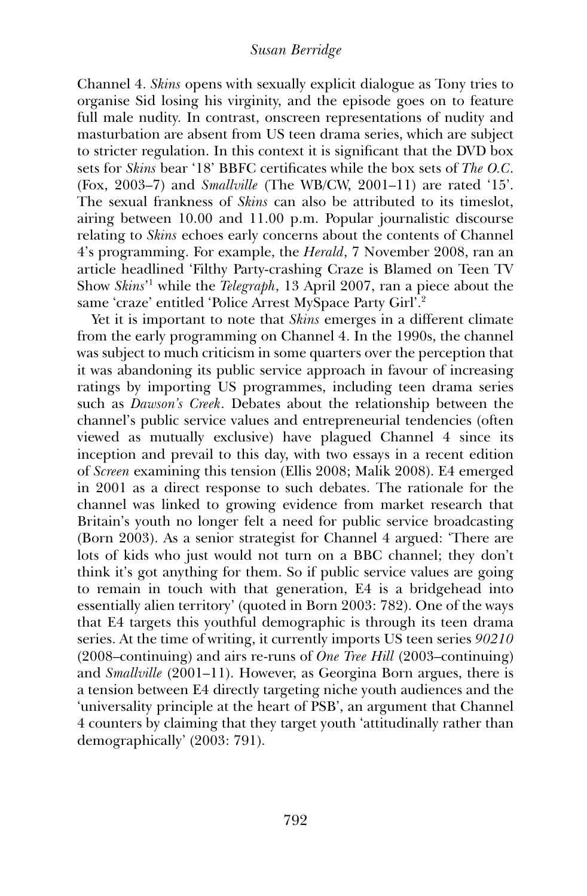Channel 4. *Skins* opens with sexually explicit dialogue as Tony tries to organise Sid losing his virginity, and the episode goes on to feature full male nudity. In contrast, onscreen representations of nudity and masturbation are absent from US teen drama series, which are subject to stricter regulation. In this context it is significant that the DVD box sets for *Skins* bear '18' BBFC certificates while the box sets of *The O.C*. (Fox, 2003–7) and *Smallville* (The WB/CW, 2001–11) are rated '15'. The sexual frankness of *Skins* can also be attributed to its timeslot, airing between 10.00 and 11.00 p.m. Popular journalistic discourse relating to *Skins* echoes early concerns about the contents of Channel 4's programming. For example, the *Herald*, 7 November 2008, ran an article headlined 'Filthy Party-crashing Craze is Blamed on Teen TV Show *Skins*' <sup>1</sup> while the *Telegraph*, 13 April 2007, ran a piece about the same 'craze' entitled 'Police Arrest MySpace Party Girl'.2

Yet it is important to note that *Skins* emerges in a different climate from the early programming on Channel 4. In the 1990s, the channel was subject to much criticism in some quarters over the perception that it was abandoning its public service approach in favour of increasing ratings by importing US programmes, including teen drama series such as *Dawson's Creek*. Debates about the relationship between the channel's public service values and entrepreneurial tendencies (often viewed as mutually exclusive) have plagued Channel 4 since its inception and prevail to this day, with two essays in a recent edition of *Screen* examining this tension (Ellis 2008; Malik 2008). E4 emerged in 2001 as a direct response to such debates. The rationale for the channel was linked to growing evidence from market research that Britain's youth no longer felt a need for public service broadcasting (Born 2003). As a senior strategist for Channel 4 argued: 'There are lots of kids who just would not turn on a BBC channel; they don't think it's got anything for them. So if public service values are going to remain in touch with that generation, E4 is a bridgehead into essentially alien territory' (quoted in Born 2003: 782). One of the ways that E4 targets this youthful demographic is through its teen drama series. At the time of writing, it currently imports US teen series *90210* (2008–continuing) and airs re-runs of *One Tree Hill* (2003–continuing) and *Smallville* (2001–11). However, as Georgina Born argues, there is a tension between E4 directly targeting niche youth audiences and the 'universality principle at the heart of PSB', an argument that Channel 4 counters by claiming that they target youth 'attitudinally rather than demographically' (2003: 791).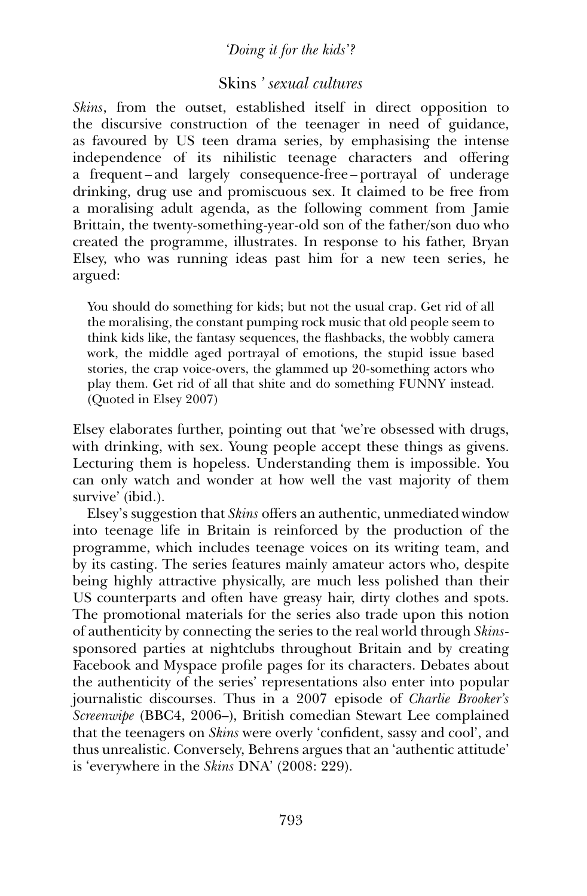## *'Doing it for the kids'?*

## Skins *' sexual cultures*

*Skins*, from the outset, established itself in direct opposition to the discursive construction of the teenager in need of guidance, as favoured by US teen drama series, by emphasising the intense independence of its nihilistic teenage characters and offering a frequent – and largely consequence-free – portrayal of underage drinking, drug use and promiscuous sex. It claimed to be free from a moralising adult agenda, as the following comment from Jamie Brittain, the twenty-something-year-old son of the father/son duo who created the programme, illustrates. In response to his father, Bryan Elsey, who was running ideas past him for a new teen series, he argued:

You should do something for kids; but not the usual crap. Get rid of all the moralising, the constant pumping rock music that old people seem to think kids like, the fantasy sequences, the flashbacks, the wobbly camera work, the middle aged portrayal of emotions, the stupid issue based stories, the crap voice-overs, the glammed up 20-something actors who play them. Get rid of all that shite and do something FUNNY instead. (Quoted in Elsey 2007)

Elsey elaborates further, pointing out that 'we're obsessed with drugs, with drinking, with sex. Young people accept these things as givens. Lecturing them is hopeless. Understanding them is impossible. You can only watch and wonder at how well the vast majority of them survive' (ibid.).

Elsey's suggestion that *Skins* offers an authentic, unmediated window into teenage life in Britain is reinforced by the production of the programme, which includes teenage voices on its writing team, and by its casting. The series features mainly amateur actors who, despite being highly attractive physically, are much less polished than their US counterparts and often have greasy hair, dirty clothes and spots. The promotional materials for the series also trade upon this notion of authenticity by connecting the series to the real world through *Skins*sponsored parties at nightclubs throughout Britain and by creating Facebook and Myspace profile pages for its characters. Debates about the authenticity of the series' representations also enter into popular journalistic discourses. Thus in a 2007 episode of *Charlie Brooker's Screenwipe* (BBC4, 2006–), British comedian Stewart Lee complained that the teenagers on *Skins* were overly 'confident, sassy and cool', and thus unrealistic. Conversely, Behrens argues that an 'authentic attitude' is 'everywhere in the *Skins* DNA' (2008: 229).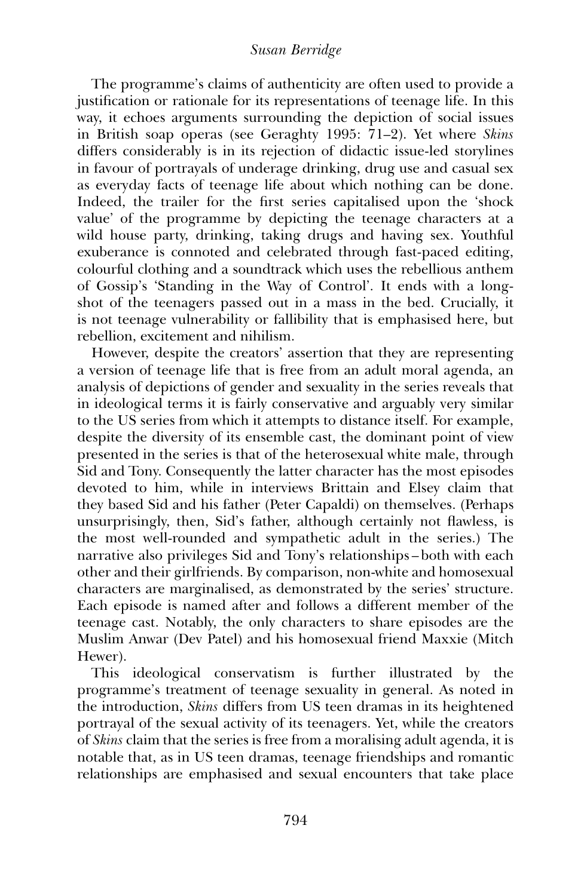The programme's claims of authenticity are often used to provide a justification or rationale for its representations of teenage life. In this way, it echoes arguments surrounding the depiction of social issues in British soap operas (see Geraghty 1995: 71–2). Yet where *Skins* differs considerably is in its rejection of didactic issue-led storylines in favour of portrayals of underage drinking, drug use and casual sex as everyday facts of teenage life about which nothing can be done. Indeed, the trailer for the first series capitalised upon the 'shock value' of the programme by depicting the teenage characters at a wild house party, drinking, taking drugs and having sex. Youthful exuberance is connoted and celebrated through fast-paced editing, colourful clothing and a soundtrack which uses the rebellious anthem of Gossip's 'Standing in the Way of Control'. It ends with a longshot of the teenagers passed out in a mass in the bed. Crucially, it is not teenage vulnerability or fallibility that is emphasised here, but rebellion, excitement and nihilism.

However, despite the creators' assertion that they are representing a version of teenage life that is free from an adult moral agenda, an analysis of depictions of gender and sexuality in the series reveals that in ideological terms it is fairly conservative and arguably very similar to the US series from which it attempts to distance itself. For example, despite the diversity of its ensemble cast, the dominant point of view presented in the series is that of the heterosexual white male, through Sid and Tony. Consequently the latter character has the most episodes devoted to him, while in interviews Brittain and Elsey claim that they based Sid and his father (Peter Capaldi) on themselves. (Perhaps unsurprisingly, then, Sid's father, although certainly not flawless, is the most well-rounded and sympathetic adult in the series.) The narrative also privileges Sid and Tony's relationships – both with each other and their girlfriends. By comparison, non-white and homosexual characters are marginalised, as demonstrated by the series' structure. Each episode is named after and follows a different member of the teenage cast. Notably, the only characters to share episodes are the Muslim Anwar (Dev Patel) and his homosexual friend Maxxie (Mitch Hewer).

This ideological conservatism is further illustrated by the programme's treatment of teenage sexuality in general. As noted in the introduction, *Skins* differs from US teen dramas in its heightened portrayal of the sexual activity of its teenagers. Yet, while the creators of *Skins* claim that the series is free from a moralising adult agenda, it is notable that, as in US teen dramas, teenage friendships and romantic relationships are emphasised and sexual encounters that take place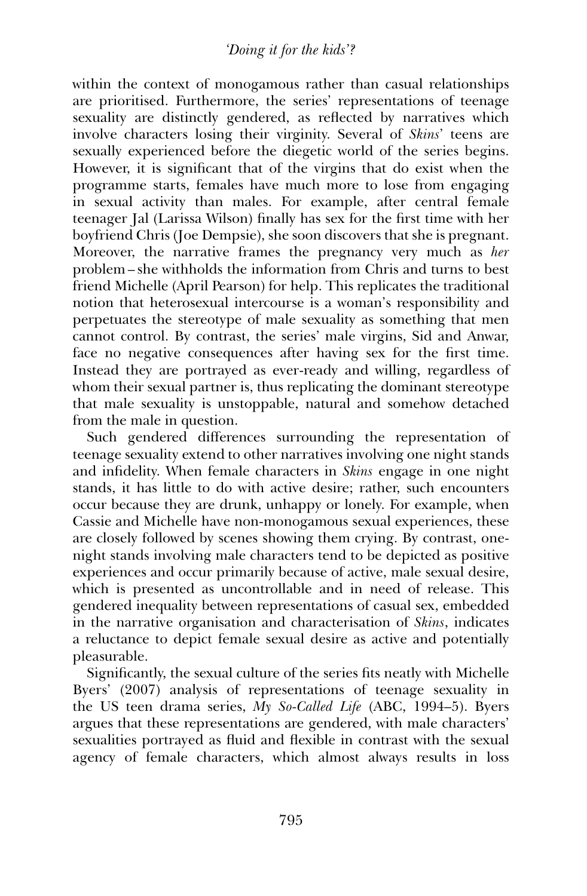within the context of monogamous rather than casual relationships are prioritised. Furthermore, the series' representations of teenage sexuality are distinctly gendered, as reflected by narratives which involve characters losing their virginity. Several of *Skins*' teens are sexually experienced before the diegetic world of the series begins. However, it is significant that of the virgins that do exist when the programme starts, females have much more to lose from engaging in sexual activity than males. For example, after central female teenager Jal (Larissa Wilson) finally has sex for the first time with her boyfriend Chris (Joe Dempsie), she soon discovers that she is pregnant. Moreover, the narrative frames the pregnancy very much as *her* problem – she withholds the information from Chris and turns to best friend Michelle (April Pearson) for help. This replicates the traditional notion that heterosexual intercourse is a woman's responsibility and perpetuates the stereotype of male sexuality as something that men cannot control. By contrast, the series' male virgins, Sid and Anwar, face no negative consequences after having sex for the first time. Instead they are portrayed as ever-ready and willing, regardless of whom their sexual partner is, thus replicating the dominant stereotype that male sexuality is unstoppable, natural and somehow detached from the male in question.

Such gendered differences surrounding the representation of teenage sexuality extend to other narratives involving one night stands and infidelity. When female characters in *Skins* engage in one night stands, it has little to do with active desire; rather, such encounters occur because they are drunk, unhappy or lonely. For example, when Cassie and Michelle have non-monogamous sexual experiences, these are closely followed by scenes showing them crying. By contrast, onenight stands involving male characters tend to be depicted as positive experiences and occur primarily because of active, male sexual desire, which is presented as uncontrollable and in need of release. This gendered inequality between representations of casual sex, embedded in the narrative organisation and characterisation of *Skins*, indicates a reluctance to depict female sexual desire as active and potentially pleasurable.

Significantly, the sexual culture of the series fits neatly with Michelle Byers' (2007) analysis of representations of teenage sexuality in the US teen drama series, *My So-Called Life* (ABC, 1994–5). Byers argues that these representations are gendered, with male characters' sexualities portrayed as fluid and flexible in contrast with the sexual agency of female characters, which almost always results in loss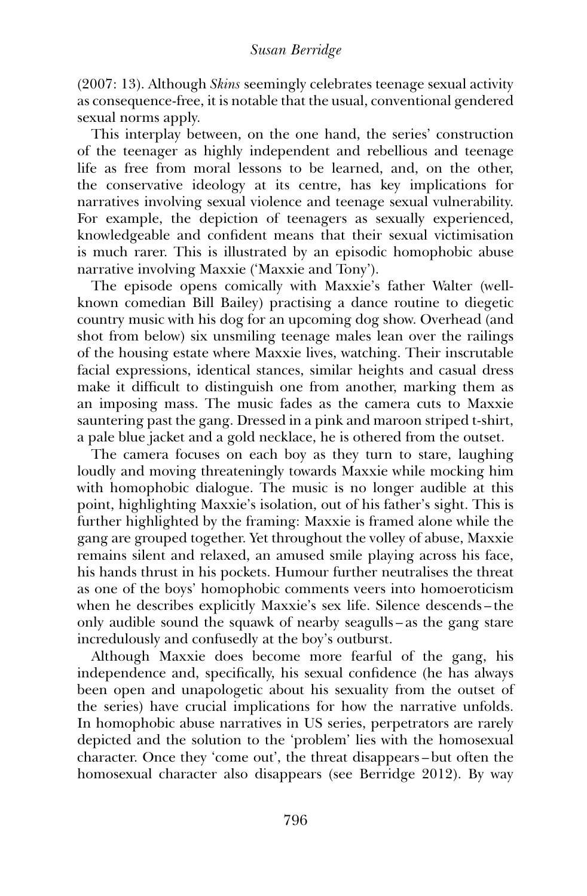(2007: 13). Although *Skins* seemingly celebrates teenage sexual activity as consequence-free, it is notable that the usual, conventional gendered sexual norms apply.

This interplay between, on the one hand, the series' construction of the teenager as highly independent and rebellious and teenage life as free from moral lessons to be learned, and, on the other, the conservative ideology at its centre, has key implications for narratives involving sexual violence and teenage sexual vulnerability. For example, the depiction of teenagers as sexually experienced, knowledgeable and confident means that their sexual victimisation is much rarer. This is illustrated by an episodic homophobic abuse narrative involving Maxxie ('Maxxie and Tony').

The episode opens comically with Maxxie's father Walter (wellknown comedian Bill Bailey) practising a dance routine to diegetic country music with his dog for an upcoming dog show. Overhead (and shot from below) six unsmiling teenage males lean over the railings of the housing estate where Maxxie lives, watching. Their inscrutable facial expressions, identical stances, similar heights and casual dress make it difficult to distinguish one from another, marking them as an imposing mass. The music fades as the camera cuts to Maxxie sauntering past the gang. Dressed in a pink and maroon striped t-shirt, a pale blue jacket and a gold necklace, he is othered from the outset.

The camera focuses on each boy as they turn to stare, laughing loudly and moving threateningly towards Maxxie while mocking him with homophobic dialogue. The music is no longer audible at this point, highlighting Maxxie's isolation, out of his father's sight. This is further highlighted by the framing: Maxxie is framed alone while the gang are grouped together. Yet throughout the volley of abuse, Maxxie remains silent and relaxed, an amused smile playing across his face, his hands thrust in his pockets. Humour further neutralises the threat as one of the boys' homophobic comments veers into homoeroticism when he describes explicitly Maxxie's sex life. Silence descends – the only audible sound the squawk of nearby seagulls – as the gang stare incredulously and confusedly at the boy's outburst.

Although Maxxie does become more fearful of the gang, his independence and, specifically, his sexual confidence (he has always been open and unapologetic about his sexuality from the outset of the series) have crucial implications for how the narrative unfolds. In homophobic abuse narratives in US series, perpetrators are rarely depicted and the solution to the 'problem' lies with the homosexual character. Once they 'come out', the threat disappears – but often the homosexual character also disappears (see Berridge 2012). By way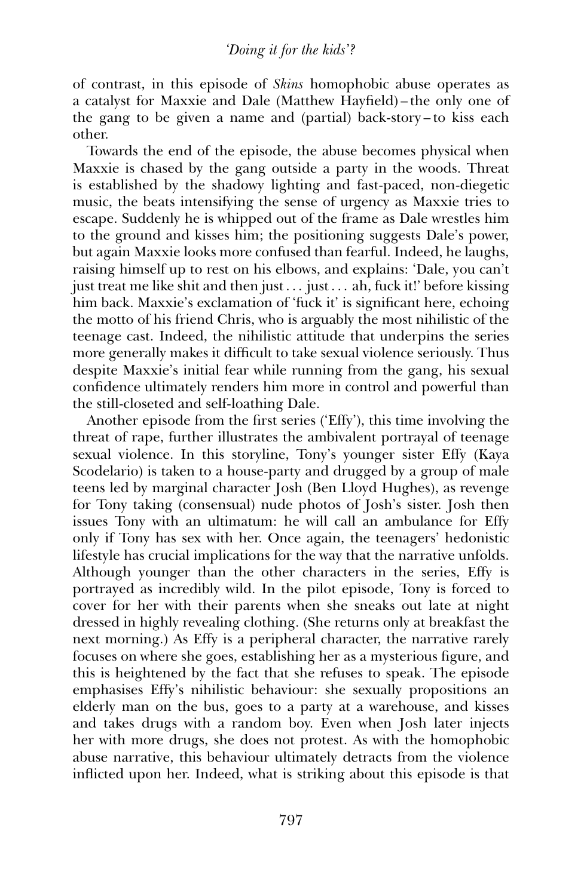of contrast, in this episode of *Skins* homophobic abuse operates as a catalyst for Maxxie and Dale (Matthew Hayfield) – the only one of the gang to be given a name and (partial) back-story – to kiss each other.

Towards the end of the episode, the abuse becomes physical when Maxxie is chased by the gang outside a party in the woods. Threat is established by the shadowy lighting and fast-paced, non-diegetic music, the beats intensifying the sense of urgency as Maxxie tries to escape. Suddenly he is whipped out of the frame as Dale wrestles him to the ground and kisses him; the positioning suggests Dale's power, but again Maxxie looks more confused than fearful. Indeed, he laughs, raising himself up to rest on his elbows, and explains: 'Dale, you can't just treat me like shit and then just . . . just . . . ah, fuck it!' before kissing him back. Maxxie's exclamation of 'fuck it' is significant here, echoing the motto of his friend Chris, who is arguably the most nihilistic of the teenage cast. Indeed, the nihilistic attitude that underpins the series more generally makes it difficult to take sexual violence seriously. Thus despite Maxxie's initial fear while running from the gang, his sexual confidence ultimately renders him more in control and powerful than the still-closeted and self-loathing Dale.

Another episode from the first series ('Effy'), this time involving the threat of rape, further illustrates the ambivalent portrayal of teenage sexual violence. In this storyline, Tony's younger sister Effy (Kaya Scodelario) is taken to a house-party and drugged by a group of male teens led by marginal character Josh (Ben Lloyd Hughes), as revenge for Tony taking (consensual) nude photos of Josh's sister. Josh then issues Tony with an ultimatum: he will call an ambulance for Effy only if Tony has sex with her. Once again, the teenagers' hedonistic lifestyle has crucial implications for the way that the narrative unfolds. Although younger than the other characters in the series, Effy is portrayed as incredibly wild. In the pilot episode, Tony is forced to cover for her with their parents when she sneaks out late at night dressed in highly revealing clothing. (She returns only at breakfast the next morning.) As Effy is a peripheral character, the narrative rarely focuses on where she goes, establishing her as a mysterious figure, and this is heightened by the fact that she refuses to speak. The episode emphasises Effy's nihilistic behaviour: she sexually propositions an elderly man on the bus, goes to a party at a warehouse, and kisses and takes drugs with a random boy. Even when Josh later injects her with more drugs, she does not protest. As with the homophobic abuse narrative, this behaviour ultimately detracts from the violence inflicted upon her. Indeed, what is striking about this episode is that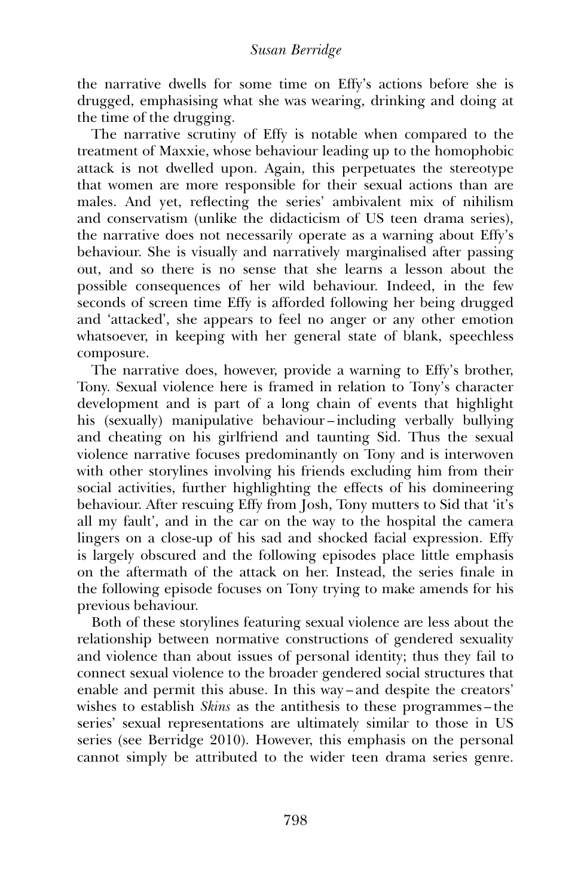the narrative dwells for some time on Effy's actions before she is drugged, emphasising what she was wearing, drinking and doing at the time of the drugging.

The narrative scrutiny of Effy is notable when compared to the treatment of Maxxie, whose behaviour leading up to the homophobic attack is not dwelled upon. Again, this perpetuates the stereotype that women are more responsible for their sexual actions than are males. And yet, reflecting the series' ambivalent mix of nihilism and conservatism (unlike the didacticism of US teen drama series), the narrative does not necessarily operate as a warning about Effy's behaviour. She is visually and narratively marginalised after passing out, and so there is no sense that she learns a lesson about the possible consequences of her wild behaviour. Indeed, in the few seconds of screen time Effy is afforded following her being drugged and 'attacked', she appears to feel no anger or any other emotion whatsoever, in keeping with her general state of blank, speechless composure.

The narrative does, however, provide a warning to Effy's brother, Tony. Sexual violence here is framed in relation to Tony's character development and is part of a long chain of events that highlight his (sexually) manipulative behaviour – including verbally bullying and cheating on his girlfriend and taunting Sid. Thus the sexual violence narrative focuses predominantly on Tony and is interwoven with other storylines involving his friends excluding him from their social activities, further highlighting the effects of his domineering behaviour. After rescuing Effy from Josh, Tony mutters to Sid that 'it's all my fault', and in the car on the way to the hospital the camera lingers on a close-up of his sad and shocked facial expression. Effy is largely obscured and the following episodes place little emphasis on the aftermath of the attack on her. Instead, the series finale in the following episode focuses on Tony trying to make amends for his previous behaviour.

Both of these storylines featuring sexual violence are less about the relationship between normative constructions of gendered sexuality and violence than about issues of personal identity; thus they fail to connect sexual violence to the broader gendered social structures that enable and permit this abuse. In this way – and despite the creators' wishes to establish *Skins* as the antithesis to these programmes – the series' sexual representations are ultimately similar to those in US series (see Berridge 2010). However, this emphasis on the personal cannot simply be attributed to the wider teen drama series genre.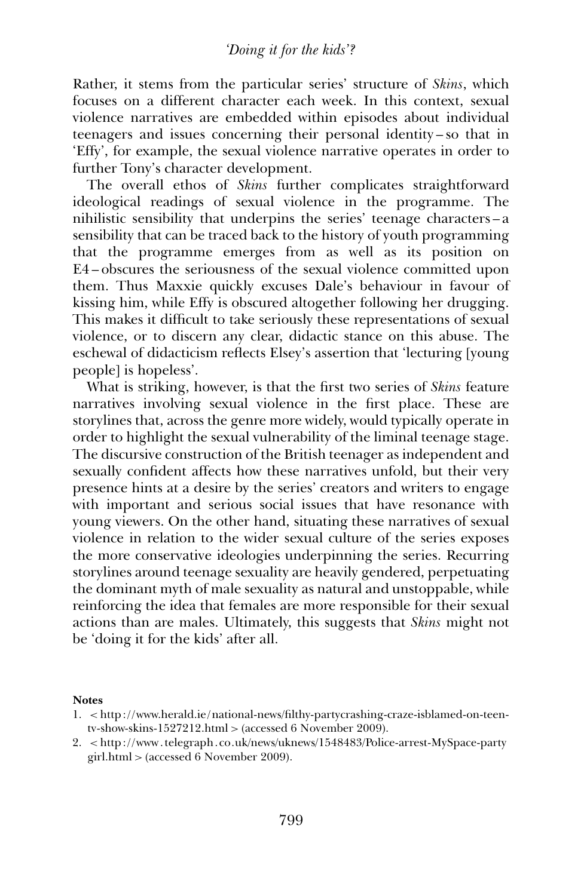Rather, it stems from the particular series' structure of *Skins*, which focuses on a different character each week. In this context, sexual violence narratives are embedded within episodes about individual teenagers and issues concerning their personal identity – so that in 'Effy', for example, the sexual violence narrative operates in order to further Tony's character development.

The overall ethos of *Skins* further complicates straightforward ideological readings of sexual violence in the programme. The nihilistic sensibility that underpins the series' teenage characters – a sensibility that can be traced back to the history of youth programming that the programme emerges from as well as its position on E4 – obscures the seriousness of the sexual violence committed upon them. Thus Maxxie quickly excuses Dale's behaviour in favour of kissing him, while Effy is obscured altogether following her drugging. This makes it difficult to take seriously these representations of sexual violence, or to discern any clear, didactic stance on this abuse. The eschewal of didacticism reflects Elsey's assertion that 'lecturing [young people] is hopeless'.

What is striking, however, is that the first two series of *Skins* feature narratives involving sexual violence in the first place. These are storylines that, across the genre more widely, would typically operate in order to highlight the sexual vulnerability of the liminal teenage stage. The discursive construction of the British teenager as independent and sexually confident affects how these narratives unfold, but their very presence hints at a desire by the series' creators and writers to engage with important and serious social issues that have resonance with young viewers. On the other hand, situating these narratives of sexual violence in relation to the wider sexual culture of the series exposes the more conservative ideologies underpinning the series. Recurring storylines around teenage sexuality are heavily gendered, perpetuating the dominant myth of male sexuality as natural and unstoppable, while reinforcing the idea that females are more responsible for their sexual actions than are males. Ultimately, this suggests that *Skins* might not be 'doing it for the kids' after all.

#### **Notes**

<sup>1.</sup> < http ://www.herald.ie/national-news/filthy-partycrashing-craze-isblamed-on-teentv-show-skins-1527212.html  $>$  (accessed 6 November 2009).

<sup>2.</sup> < http ://www. telegraph. co.uk/news/uknews/1548483/Police-arrest-MySpace-party girl.html > (accessed 6 November 2009).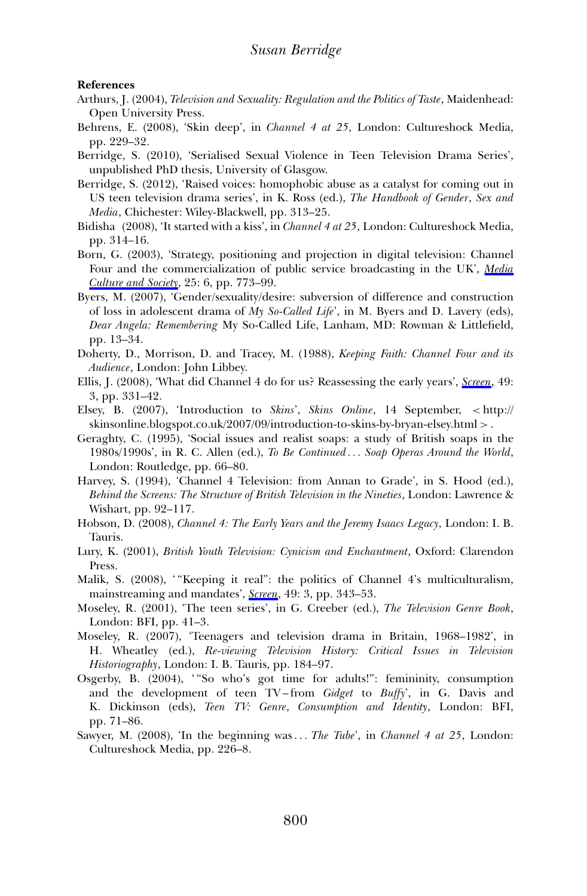#### **References**

- Arthurs, J. (2004), *Television and Sexuality: Regulation and the Politics of Taste*, Maidenhead: Open University Press.
- Behrens, E. (2008), 'Skin deep', in *Channel 4 at 25*, London: Cultureshock Media, pp. 229–32.
- Berridge, S. (2010), 'Serialised Sexual Violence in Teen Television Drama Series', unpublished PhD thesis, University of Glasgow.
- Berridge, S. (2012), 'Raised voices: homophobic abuse as a catalyst for coming out in US teen television drama series', in K. Ross (ed.), *The Handbook of Gender*, *Sex and Media*, Chichester: Wiley-Blackwell, pp. 313–25.
- Bidisha (2008), 'It started with a kiss', in *Channel 4 at 25*, London: Cultureshock Media, pp. 314–16.
- Born, G. (2003), 'Strategy, positioning and projection in digital television: Channel Four and the commercialization of public service broadcasting in the UK', *Media Culture and Society*, 25: 6, pp. 773–99.
- Byers, M. (2007), 'Gender/sexuality/desire: subversion of difference and construction of loss in adolescent drama of *My So-Called Life*', in M. Byers and D. Lavery (eds), *Dear Angela: Remembering* My So-Called Life, Lanham, MD: Rowman & Littlefield, pp. 13–34.
- Doherty, D., Morrison, D. and Tracey, M. (1988), *Keeping Faith: Channel Four and its Audience*, London: John Libbey.
- Ellis, J. (2008), 'What did Channel 4 do for us? Reassessing the early years', *Screen*, 49: 3, pp. 331–42.
- Elsey, B. (2007), 'Introduction to *Skins*', *Skins Online*, 14 September, < http:// skinsonline.blogspot.co.uk/2007/09/introduction-to-skins-by-bryan-elsey.html > .
- Geraghty, C. (1995), 'Social issues and realist soaps: a study of British soaps in the 1980s/1990s', in R. C. Allen (ed.), *To Be Continued . . . Soap Operas Around the World*, London: Routledge, pp. 66–80.
- Harvey, S. (1994), 'Channel 4 Television: from Annan to Grade', in S. Hood (ed.), *Behind the Screens: The Structure of British Television in the Nineties*, London: Lawrence & Wishart, pp. 92–117.
- Hobson, D. (2008), *Channel 4: The Early Years and the Jeremy Isaacs Legacy*, London: I. B. Tauris.
- Lury, K. (2001), *British Youth Television: Cynicism and Enchantment*, Oxford: Clarendon Press.
- Malik, S. (2008), ' "Keeping it real'': the politics of Channel 4's multiculturalism, mainstreaming and mandates', *Screen*, 49: 3, pp. 343–53.
- Moseley, R. (2001), 'The teen series', in G. Creeber (ed.), *The Television Genre Book*, London: BFI, pp. 41–3.
- Moseley, R. (2007), 'Teenagers and television drama in Britain, 1968–1982', in H. Wheatley (ed.), *Re-viewing Television History: Critical Issues in Television Historiography*, London: I. B. Tauris, pp. 184–97.
- Osgerby, B. (2004), "So who's got time for adults!": femininity, consumption and the development of teen TV – from *Gidget* to *Buffy*', in G. Davis and K. Dickinson (eds), *Teen TV: Genre*, *Consumption and Identity*, London: BFI, pp. 71–86.
- Sawyer, M. (2008), 'In the beginning was . . . *The Tube*', in *Channel 4 at 25*, London: Cultureshock Media, pp. 226–8.